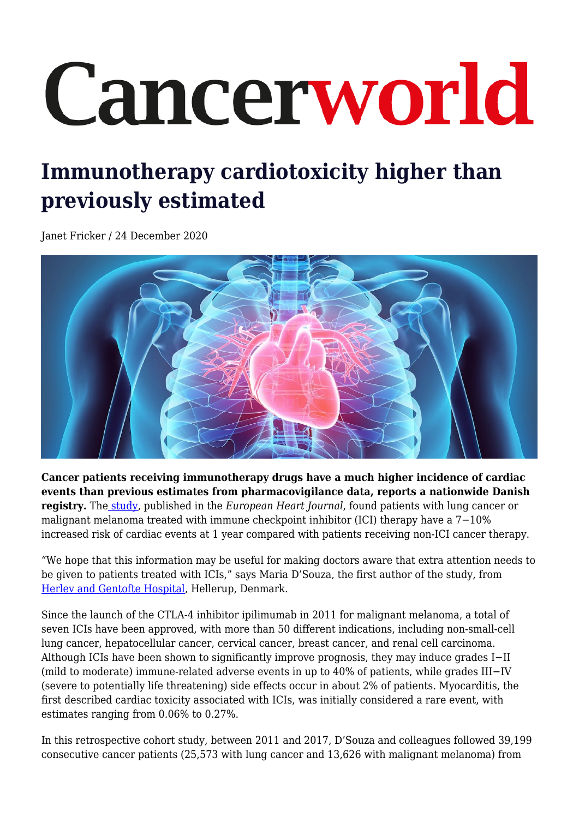## Cancerworld

## **Immunotherapy cardiotoxicity higher than previously estimated**

Janet Fricker / 24 December 2020



**Cancer patients receiving immunotherapy drugs have a much higher incidence of cardiac events than previous estimates from pharmacovigilance data, reports a nationwide Danish registry.** Th[e study,](https://academic.oup.com/eurheartj/advance-article/doi/10.1093/eurheartj/ehaa884/6027871) published in the *European Heart Journal*, found patients with lung cancer or malignant melanoma treated with immune checkpoint inhibitor (ICI) therapy have a 7−10% increased risk of cardiac events at 1 year compared with patients receiving non-ICI cancer therapy.

"We hope that this information may be useful for making doctors aware that extra attention needs to be given to patients treated with ICIs," says Maria D'Souza, the first author of the study, from [Herlev and Gentofte Hospital](https://www.gentoftehospital.dk/english/Sider/default.aspx), Hellerup, Denmark.

Since the launch of the CTLA-4 inhibitor ipilimumab in 2011 for malignant melanoma, a total of seven ICIs have been approved, with more than 50 different indications, including non-small-cell lung cancer, hepatocellular cancer, cervical cancer, breast cancer, and renal cell carcinoma. Although ICIs have been shown to significantly improve prognosis, they may induce grades I−II (mild to moderate) immune-related adverse events in up to 40% of patients, while grades III−IV (severe to potentially life threatening) side effects occur in about 2% of patients. Myocarditis, the first described cardiac toxicity associated with ICIs, was initially considered a rare event, with estimates ranging from 0.06% to 0.27%.

In this retrospective cohort study, between 2011 and 2017, D'Souza and colleagues followed 39,199 consecutive cancer patients (25,573 with lung cancer and 13,626 with malignant melanoma) from